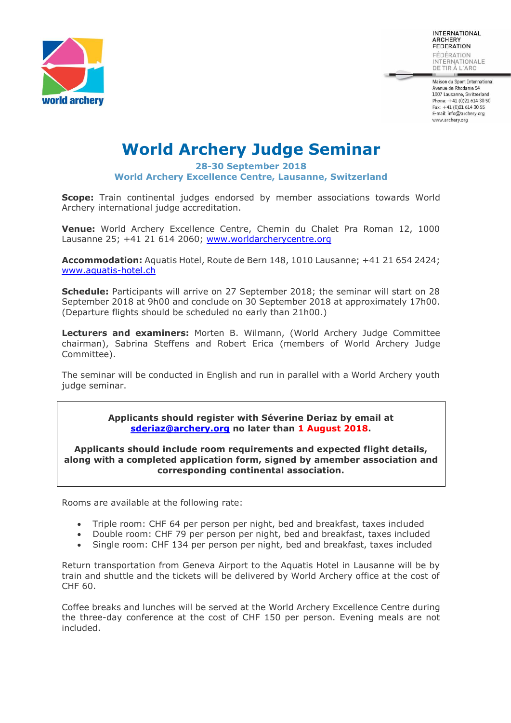

INTERNATIONAL **ARCHERY** FEDERATION FÉDÉRATION

INTERNATIONALE DE TIR À L'ARC

Maison du Sport International Avenue de Rhodanie 54 1007 Lausanne, Switzerland Phone: +41 (0)21 614 30 50 Fax: +41 (0)21 614 30 55 E-mail: info@archery.org www.archery.org

## **World Archery Judge Seminar**

**28-30 September 2018 World Archery Excellence Centre, Lausanne, Switzerland**

**Scope:** Train continental judges endorsed by member associations towards World Archery international judge accreditation.

**Venue:** World Archery Excellence Centre, Chemin du Chalet Pra Roman 12, 1000 Lausanne 25; +41 21 614 2060; [www.worldarcherycentre.org](http://www.worldarcherycentre.org/)

**Accommodation:** Aquatis Hotel, Route de Bern 148, 1010 Lausanne; +41 21 654 2424; [www.aquatis-hotel.ch](http://www.aquatis-hotel.ch/)

**Schedule:** Participants will arrive on 27 September 2018; the seminar will start on 28 September 2018 at 9h00 and conclude on 30 September 2018 at approximately 17h00. (Departure flights should be scheduled no early than 21h00.)

**Lecturers and examiners:** Morten B. Wilmann, (World Archery Judge Committee chairman), Sabrina Steffens and Robert Erica (members of World Archery Judge Committee).

The seminar will be conducted in English and run in parallel with a World Archery youth judge seminar.

> **Applicants should register with Séverine Deriaz by email at [sderiaz@archery.org](mailto:sderiaz@archery.org) no later than 1 August 2018.**

**Applicants should include room requirements and expected flight details, along with a completed application form, signed by amember association and corresponding continental association.**

Rooms are available at the following rate:

- Triple room: CHF 64 per person per night, bed and breakfast, taxes included
- Double room: CHF 79 per person per night, bed and breakfast, taxes included
- Single room: CHF 134 per person per night, bed and breakfast, taxes included

Return transportation from Geneva Airport to the Aquatis Hotel in Lausanne will be by train and shuttle and the tickets will be delivered by World Archery office at the cost of CHF 60.

Coffee breaks and lunches will be served at the World Archery Excellence Centre during the three-day conference at the cost of CHF 150 per person. Evening meals are not included.